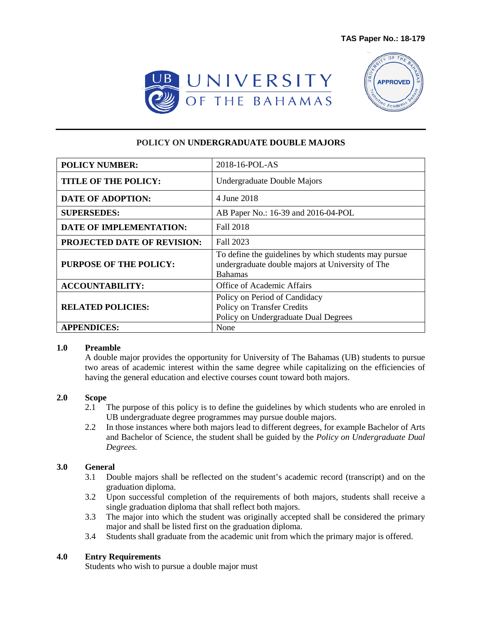



## **POLICY ON UNDERGRADUATE DOUBLE MAJORS**

| <b>POLICY NUMBER:</b>              | 2018-16-POL-AS                                                                                                              |
|------------------------------------|-----------------------------------------------------------------------------------------------------------------------------|
| <b>TITLE OF THE POLICY:</b>        | Undergraduate Double Majors                                                                                                 |
| <b>DATE OF ADOPTION:</b>           | 4 June 2018                                                                                                                 |
| <b>SUPERSEDES:</b>                 | AB Paper No.: 16-39 and 2016-04-POL                                                                                         |
| <b>DATE OF IMPLEMENTATION:</b>     | <b>Fall 2018</b>                                                                                                            |
| <b>PROJECTED DATE OF REVISION:</b> | Fall 2023                                                                                                                   |
| <b>PURPOSE OF THE POLICY:</b>      | To define the guidelines by which students may pursue<br>undergraduate double majors at University of The<br><b>Bahamas</b> |
| <b>ACCOUNTABILITY:</b>             | <b>Office of Academic Affairs</b>                                                                                           |
| <b>RELATED POLICIES:</b>           | Policy on Period of Candidacy<br>Policy on Transfer Credits<br>Policy on Undergraduate Dual Degrees                         |
| <b>APPENDICES:</b>                 | None                                                                                                                        |

#### **1.0 Preamble**

A double major provides the opportunity for University of The Bahamas (UB) students to pursue two areas of academic interest within the same degree while capitalizing on the efficiencies of having the general education and elective courses count toward both majors.

### **2.0 Scope**

- 2.1 The purpose of this policy is to define the guidelines by which students who are enroled in UB undergraduate degree programmes may pursue double majors.
- 2.2 In those instances where both majors lead to different degrees, for example Bachelor of Arts and Bachelor of Science, the student shall be guided by the *Policy on Undergraduate Dual Degrees.*

### **3.0 General**

- 3.1 Double majors shall be reflected on the student's academic record (transcript) and on the graduation diploma.
- 3.2 Upon successful completion of the requirements of both majors, students shall receive a single graduation diploma that shall reflect both majors.
- 3.3 The major into which the student was originally accepted shall be considered the primary major and shall be listed first on the graduation diploma.
- 3.4 Students shall graduate from the academic unit from which the primary major is offered.

### **4.0 Entry Requirements**

Students who wish to pursue a double major must